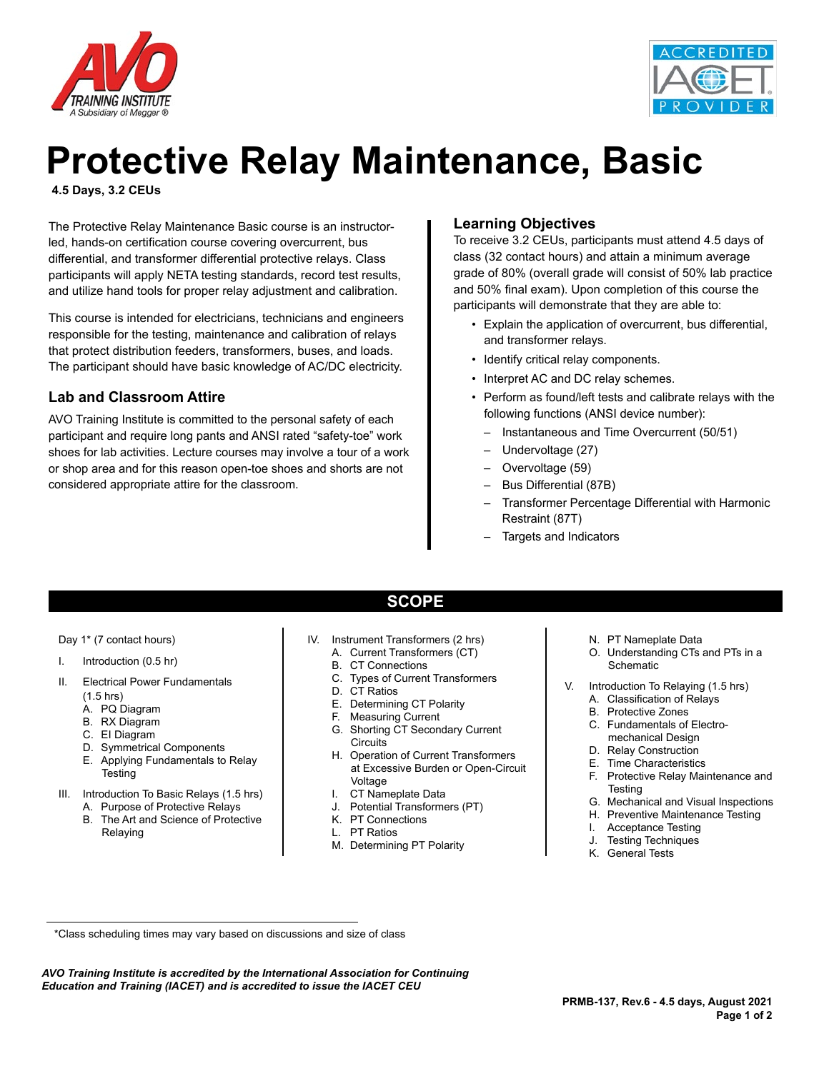



# **Protective Relay Maintenance, Basic**

**4.5 Days, 3.2 CEUs**

The Protective Relay Maintenance Basic course is an instructorled, hands-on certification course covering overcurrent, bus differential, and transformer differential protective relays. Class participants will apply NETA testing standards, record test results, and utilize hand tools for proper relay adjustment and calibration.

This course is intended for electricians, technicians and engineers responsible for the testing, maintenance and calibration of relays that protect distribution feeders, transformers, buses, and loads. The participant should have basic knowledge of AC/DC electricity.

### **Lab and Classroom Attire**

AVO Training Institute is committed to the personal safety of each participant and require long pants and ANSI rated "safety-toe" work shoes for lab activities. Lecture courses may involve a tour of a work or shop area and for this reason open-toe shoes and shorts are not considered appropriate attire for the classroom.

### **Learning Objectives**

To receive 3.2 CEUs, participants must attend 4.5 days of class (32 contact hours) and attain a minimum average grade of 80% (overall grade will consist of 50% lab practice and 50% final exam). Upon completion of this course the participants will demonstrate that they are able to:

- Explain the application of overcurrent, bus differential, and transformer relays.
- Identify critical relay components.
- Interpret AC and DC relay schemes.
- Perform as found/left tests and calibrate relays with the following functions (ANSI device number):
	- Instantaneous and Time Overcurrent (50/51)
	- Undervoltage (27)
	- Overvoltage (59)
	- Bus Differential (87B)
	- Transformer Percentage Differential with Harmonic Restraint (87T)
	- Targets and Indicators

- Day 1\* (7 contact hours)
- I. Introduction (0.5 hr)
- II. Electrical Power Fundamentals
	- $(1.5$  hrs)
	- A. PQ Diagram
	- B. RX Diagram
	- C. EI Diagram
	- D. Symmetrical Components
	- E. Applying Fundamentals to Relay **Testing**
- III. Introduction To Basic Relays (1.5 hrs)
	- A. Purpose of Protective Relays
	- B. The Art and Science of Protective Relaying
- IV. Instrument Transformers (2 hrs)
	- A. Current Transformers (CT)
	- B. CT Connections
	- C. Types of Current Transformers

**SCOPE**

- D. CT Ratios
- E. Determining CT Polarity
- F. Measuring Current
- G. Shorting CT Secondary Current **Circuits**
- H. Operation of Current Transformers at Excessive Burden or Open-Circuit Voltage
- I. CT Nameplate Data
- Potential Transformers (PT)
- K. PT Connections
- L. PT Ratios
- M. Determining PT Polarity
- N. PT Nameplate Data
- O. Understanding CTs and PTs in a **Schematic**
- V. Introduction To Relaying (1.5 hrs)
	- A. Classification of Relays
	- B. Protective Zones
	- C. Fundamentals of Electromechanical Design
	- D. Relay Construction
	- E. Time Characteristics
	- F. Protective Relay Maintenance and **Testing**
	- G. Mechanical and Visual Inspections
	- H. Preventive Maintenance Testing
	- I. Acceptance Testing
	- J. Testing Techniques
	- K. General Tests

*AVO Training Institute is accredited by the International Association for Continuing Education and Training (IACET) and is accredited to issue the IACET CEU*

 <sup>\*</sup>Class scheduling times may vary based on discussions and size of class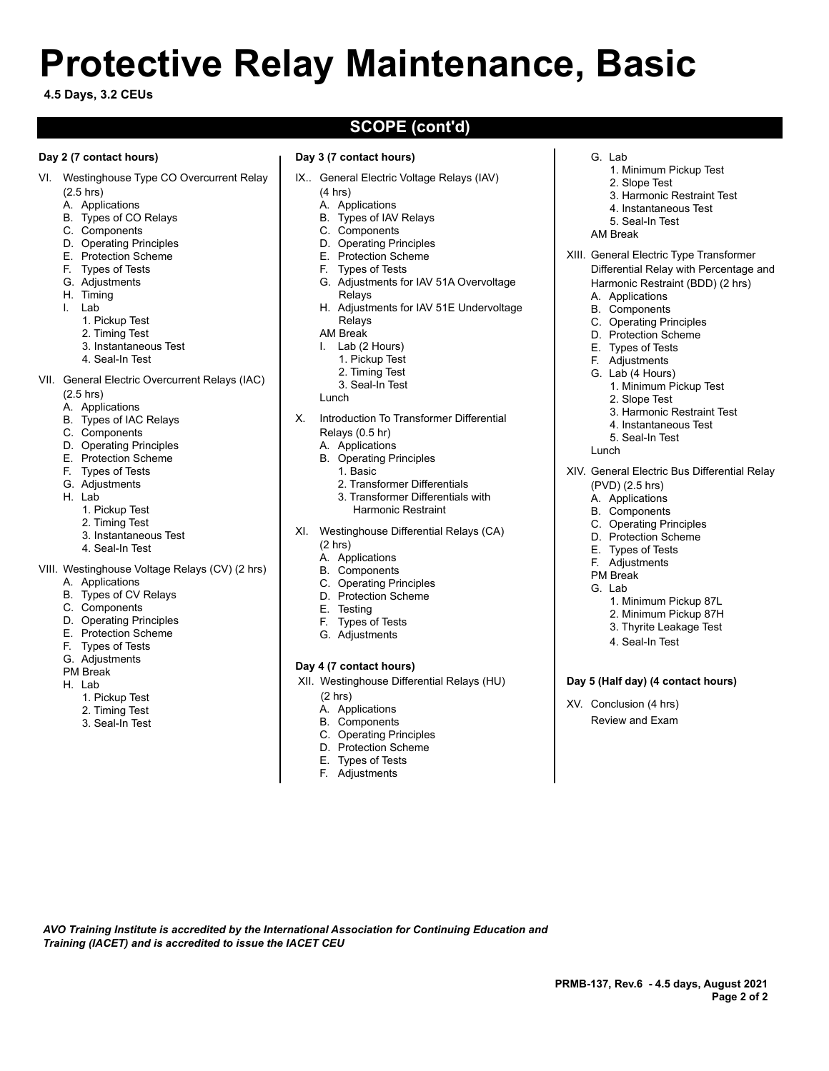# **Protective Relay Maintenance, Basic**

#### **4.5 Days, 3.2 CEUs**

#### **Day 2 (7 contact hours)**

- VI. Westinghouse Type CO Overcurrent Relay
	- (2.5 hrs)
	- A. Applications
	- B. Types of CO Relays
	- C. Components
	- D. Operating Principles
	- E. Protection Scheme
	- F. Types of Tests
	- G. Adjustments
	- H. Timing
	- I. Lab
		- 1. Pickup Test
		- 2. Timing Test
		- 3. Instantaneous Test
		- 4. Seal-In Test
		-

### VII. General Electric Overcurrent Relays (IAC)

- (2.5 hrs)
- A. Applications
- B. Types of IAC Relays
- C. Components
- D. Operating Principles
- E. Protection Scheme
- F. Types of Tests
- G. Adjustments
- H. Lab
	- 1. Pickup Test
	- 2. Timing Test
	- 3. Instantaneous Test
	- 4. Seal-In Test
- VIII. Westinghouse Voltage Relays (CV) (2 hrs)
	- A. Applications
	- B. Types of CV Relays
	- C. Components
	- D. Operating Principles
	- E. Protection Scheme
	- F. Types of Tests
	- G. Adjustments
	- PM Break
	- H. Lab
		- 1. Pickup Test
		- 2. Timing Test
		- 3. Seal-In Test

# **SCOPE (cont'd)**

- **Day 3 (7 contact hours)**
- IX.. General Electric Voltage Relays (IAV)
	- (4 hrs)
	- A. Applications
	- B. Types of IAV Relays
	- C. Components
	- D. Operating Principles
	- E. Protection Scheme
	- F. Types of Tests
	- G. Adjustments for IAV 51A Overvoltage Relays
	- H. Adjustments for IAV 51E Undervoltage Relays
	- AM Break
	- I. Lab (2 Hours)
		- 1. Pickup Test
		- 2. Timing Test
		- 3. Seal-In Test
	- Lunch
- X. Introduction To Transformer Differential Relays (0.5 hr)
	- A. Applications
	- B. Operating Principles
		- 1. Basic
			- 2. Transformer Differentials
			- 3. Transformer Differentials with
			- Harmonic Restraint
- XI. Westinghouse Differential Relays (CA) (2 hrs)
	-
	- A. Applications
	- B. Components
	- C. Operating Principles D. Protection Scheme
	-
	- E. Testing
	- F. Types of Tests G. Adjustments
	-

#### **Day 4 (7 contact hours)**

- XII. Westinghouse Differential Relays (HU) (2 hrs)
	-

*AVO Training Institute is accredited by the International Association for Continuing Education and* 

*Training (IACET) and is accredited to issue the IACET CEU*

- A. Applications B. Components
- C. Operating Principles
- D. Protection Scheme
- 
- E. Types of Tests F. Adjustments

1. Minimum Pickup Test 2. Slope Test

G. Lab

- 3. Harmonic Restraint Test
- 4. Instantaneous Test
- 5. Seal-In Test
- AM Break
- XIII. General Electric Type Transformer Differential Relay with Percentage and Harmonic Restraint (BDD) (2 hrs)

1. Minimum Pickup Test

3. Harmonic Restraint Test 4. Instantaneous Test 5. Seal-In Test

XIV. General Electric Bus Differential Relay

1. Minimum Pickup 87L 2. Minimum Pickup 87H 3. Thyrite Leakage Test

4. Seal-In Test

**Day 5 (Half day) (4 contact hours)**

XV. Conclusion (4 hrs) Review and Exam

- A. Applications
- B. Components
- C. Operating Principles

**PRMB-137, Rev.6 - 4.5 days, August 2021**

**Page 2 of 2**

D. Protection Scheme

2. Slope Test

- E. Types of Tests
- F. Adjustments G. Lab (4 Hours)

(PVD) (2.5 hrs) A. Applications B. Components C. Operating Principles D. Protection Scheme E. Types of Tests F. Adjustments PM Break G. Lab

Lunch